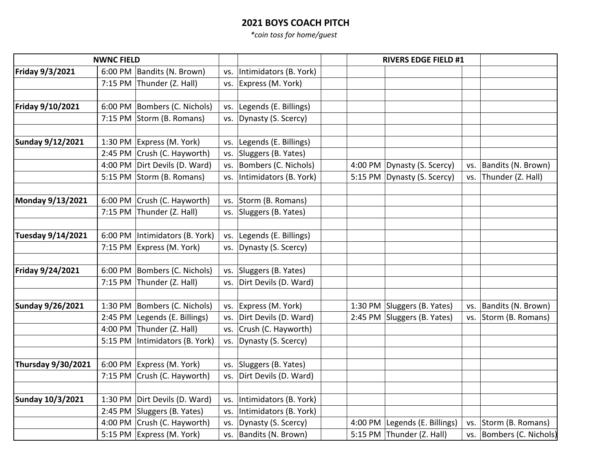## **2021 BOYS COACH PITCH**

*\*coin toss for home/guest*

| <b>NWNC FIELD</b>         |         |                             |     | <b>RIVERS EDGE FIELD #1</b> |  |                               |     |                          |
|---------------------------|---------|-----------------------------|-----|-----------------------------|--|-------------------------------|-----|--------------------------|
| Friday 9/3/2021           | 6:00 PM | Bandits (N. Brown)          | VS. | Intimidators (B. York)      |  |                               |     |                          |
|                           | 7:15 PM | Thunder (Z. Hall)           | VS. | Express (M. York)           |  |                               |     |                          |
|                           |         |                             |     |                             |  |                               |     |                          |
| Friday 9/10/2021          | 6:00 PM | Bombers (C. Nichols)        | VS. | Legends (E. Billings)       |  |                               |     |                          |
|                           | 7:15 PM | Storm (B. Romans)           | VS. | Dynasty (S. Scercy)         |  |                               |     |                          |
|                           |         |                             |     |                             |  |                               |     |                          |
| Sunday 9/12/2021          | 1:30 PM | Express (M. York)           | VS. | Legends (E. Billings)       |  |                               |     |                          |
|                           | 2:45 PM | Crush (C. Hayworth)         | VS. | Sluggers (B. Yates)         |  |                               |     |                          |
|                           | 4:00 PM | Dirt Devils (D. Ward)       | VS. | Bombers (C. Nichols)        |  | 4:00 PM Dynasty (S. Scercy)   | VS. | Bandits (N. Brown)       |
|                           | 5:15 PM | Storm (B. Romans)           | VS. | Intimidators (B. York)      |  | 5:15 PM Dynasty (S. Scercy)   | VS. | Thunder (Z. Hall)        |
|                           |         |                             |     |                             |  |                               |     |                          |
| Monday 9/13/2021          | 6:00 PM | Crush (C. Hayworth)         | VS. | Storm (B. Romans)           |  |                               |     |                          |
|                           | 7:15 PM | Thunder (Z. Hall)           | VS. | Sluggers (B. Yates)         |  |                               |     |                          |
|                           |         |                             |     |                             |  |                               |     |                          |
| <b>Tuesday 9/14/2021</b>  | 6:00 PM | Intimidators (B. York)      | VS. | Legends (E. Billings)       |  |                               |     |                          |
|                           | 7:15 PM | Express (M. York)           | VS. | Dynasty (S. Scercy)         |  |                               |     |                          |
|                           |         |                             |     |                             |  |                               |     |                          |
| Friday 9/24/2021          | 6:00 PM | Bombers (C. Nichols)        | VS. | Sluggers (B. Yates)         |  |                               |     |                          |
|                           | 7:15 PM | Thunder (Z. Hall)           | VS. | Dirt Devils (D. Ward)       |  |                               |     |                          |
|                           |         |                             |     |                             |  |                               |     |                          |
| Sunday 9/26/2021          | 1:30 PM | Bombers (C. Nichols)        | VS. | Express (M. York)           |  | 1:30 PM Sluggers (B. Yates)   |     | vs. Bandits (N. Brown)   |
|                           | 2:45 PM | Legends (E. Billings)       | VS. | Dirt Devils (D. Ward)       |  | 2:45 PM Sluggers (B. Yates)   |     | vs. Storm (B. Romans)    |
|                           | 4:00 PM | Thunder (Z. Hall)           | VS. | Crush (C. Hayworth)         |  |                               |     |                          |
|                           | 5:15 PM | Intimidators (B. York)      | VS. | Dynasty (S. Scercy)         |  |                               |     |                          |
|                           |         |                             |     |                             |  |                               |     |                          |
| <b>Thursday 9/30/2021</b> | 6:00 PM | Express (M. York)           | VS. | Sluggers (B. Yates)         |  |                               |     |                          |
|                           | 7:15 PM | Crush (C. Hayworth)         | VS. | Dirt Devils (D. Ward)       |  |                               |     |                          |
|                           |         |                             |     |                             |  |                               |     |                          |
| Sunday 10/3/2021          | 1:30 PM | Dirt Devils (D. Ward)       | VS. | Intimidators (B. York)      |  |                               |     |                          |
|                           |         | 2:45 PM Sluggers (B. Yates) | VS. | Intimidators (B. York)      |  |                               |     |                          |
|                           | 4:00 PM | Crush (C. Hayworth)         | VS. | Dynasty (S. Scercy)         |  | 4:00 PM Legends (E. Billings) |     | vs. Storm (B. Romans)    |
|                           |         | 5:15 PM Express (M. York)   | VS. | Bandits (N. Brown)          |  | 5:15 PM Thunder (Z. Hall)     |     | vs. Bombers (C. Nichols) |